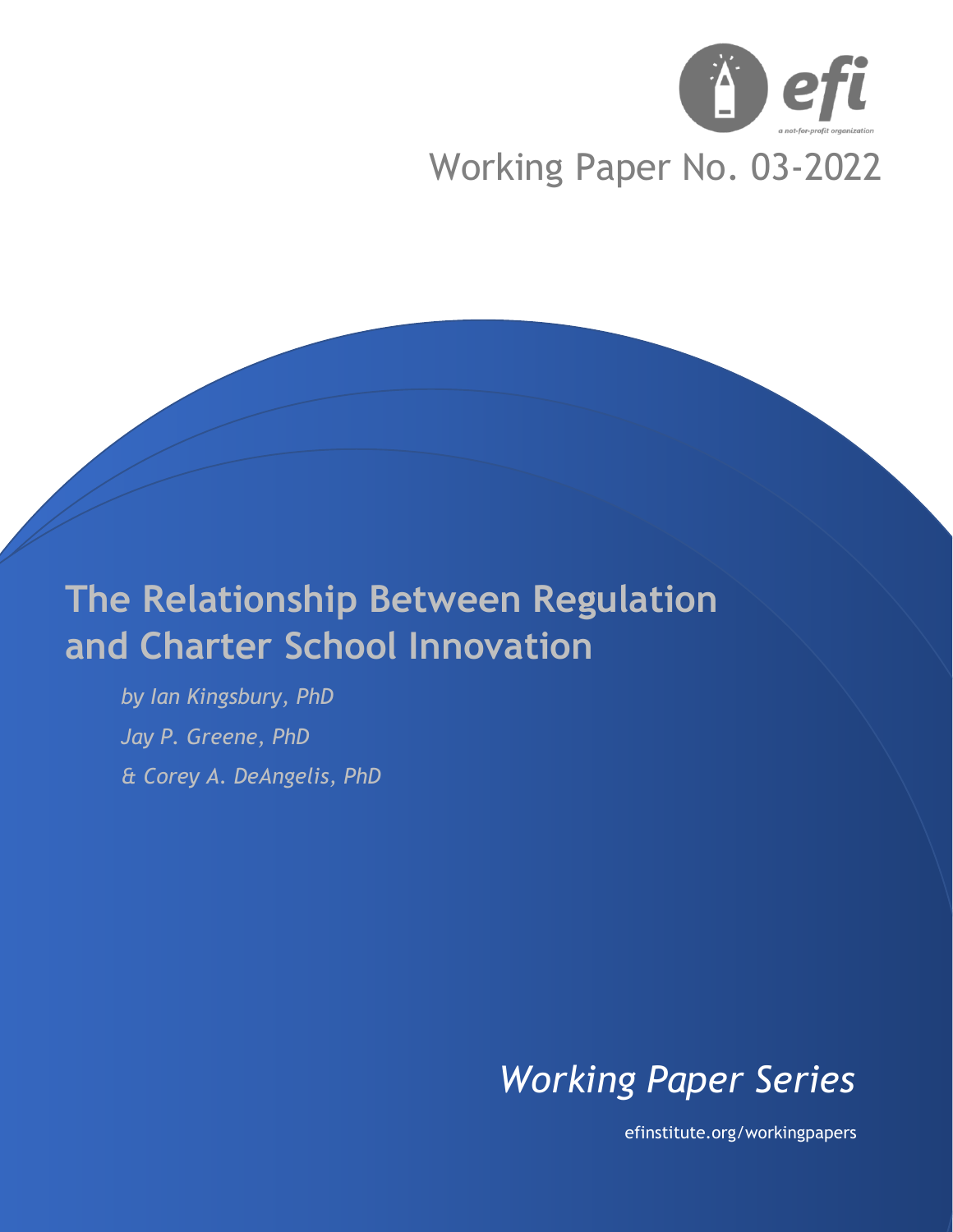

# Working Paper No. 03-2022

# **The Relationship Between Regulation and Charter School Innovation**

*by Ian Kingsbury, PhD Jay P. Greene, PhD & Corey A. DeAngelis, PhD*

# *Working Paper Series*

efinstitute.org/workingpapers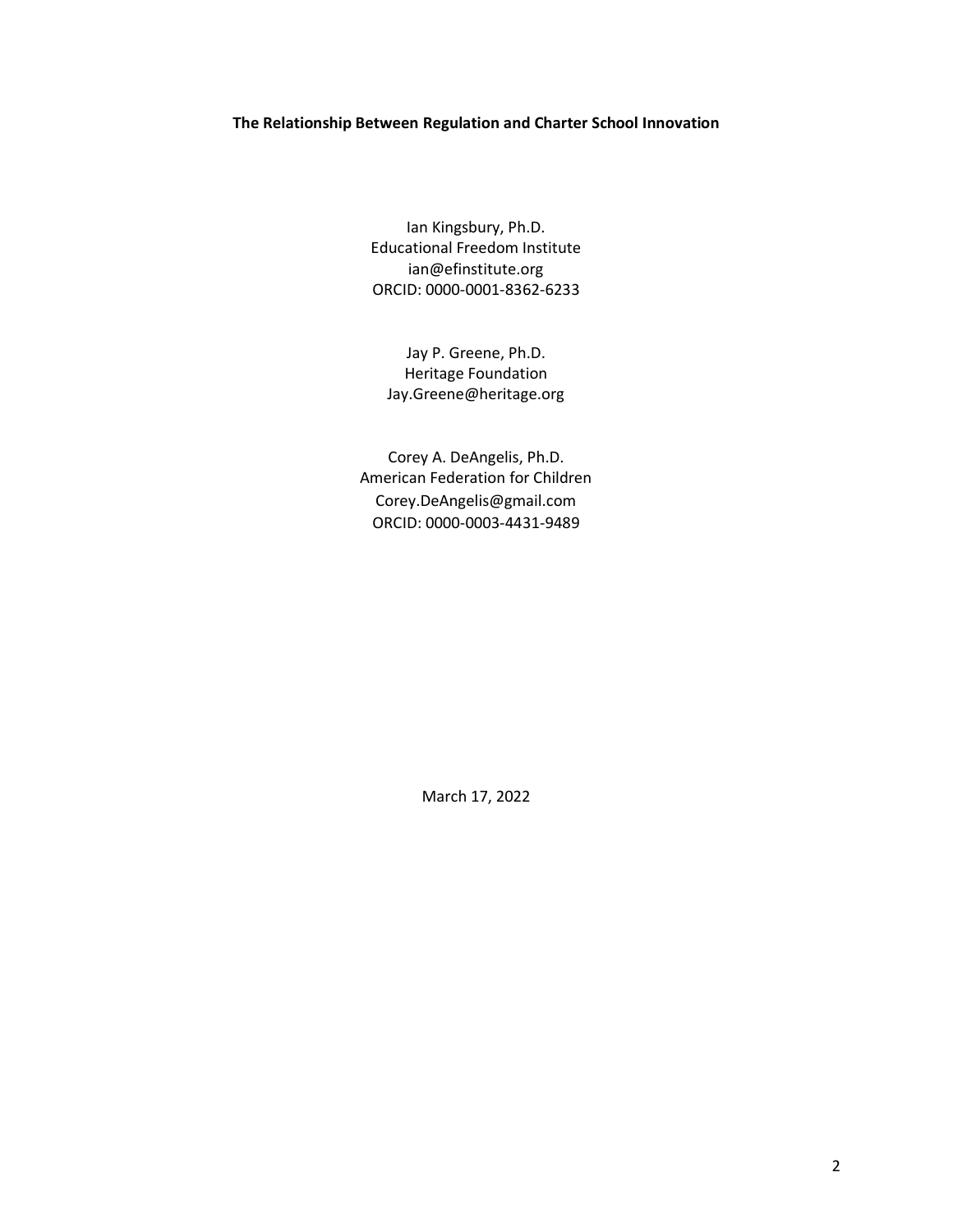#### **The Relationship Between Regulation and Charter School Innovation**

Ian Kingsbury, Ph.D. Educational Freedom Institute ian@efinstitute.org ORCID: 0000-0001-8362-6233

Jay P. Greene, Ph.D. Heritage Foundation Jay.Greene@heritage.org

Corey A. DeAngelis, Ph.D. American Federation for Children Corey.DeAngelis@gmail.com ORCID: 0000-0003-4431-9489

March 17, 2022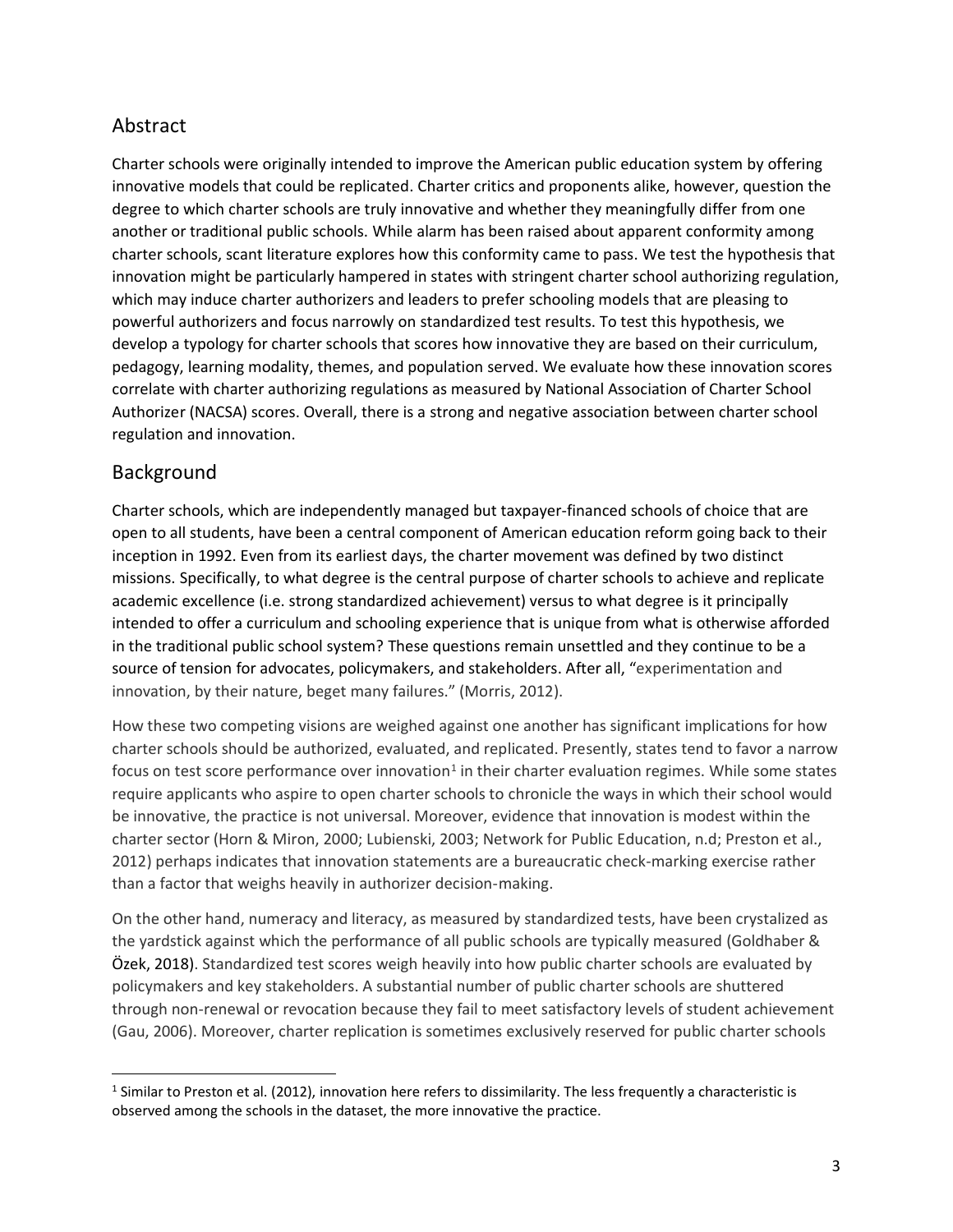# Abstract

Charter schools were originally intended to improve the American public education system by offering innovative models that could be replicated. Charter critics and proponents alike, however, question the degree to which charter schools are truly innovative and whether they meaningfully differ from one another or traditional public schools. While alarm has been raised about apparent conformity among charter schools, scant literature explores how this conformity came to pass. We test the hypothesis that innovation might be particularly hampered in states with stringent charter school authorizing regulation, which may induce charter authorizers and leaders to prefer schooling models that are pleasing to powerful authorizers and focus narrowly on standardized test results. To test this hypothesis, we develop a typology for charter schools that scores how innovative they are based on their curriculum, pedagogy, learning modality, themes, and population served. We evaluate how these innovation scores correlate with charter authorizing regulations as measured by National Association of Charter School Authorizer (NACSA) scores. Overall, there is a strong and negative association between charter school regulation and innovation.

## Background

Charter schools, which are independently managed but taxpayer-financed schools of choice that are open to all students, have been a central component of American education reform going back to their inception in 1992. Even from its earliest days, the charter movement was defined by two distinct missions. Specifically, to what degree is the central purpose of charter schools to achieve and replicate academic excellence (i.e. strong standardized achievement) versus to what degree is it principally intended to offer a curriculum and schooling experience that is unique from what is otherwise afforded in the traditional public school system? These questions remain unsettled and they continue to be a source of tension for advocates, policymakers, and stakeholders. After all, "experimentation and innovation, by their nature, beget many failures." (Morris, 2012).

How these two competing visions are weighed against one another has significant implications for how charter schools should be authorized, evaluated, and replicated. Presently, states tend to favor a narrow focus on test score performance over innovation<sup>1</sup> in their charter evaluation regimes. While some states require applicants who aspire to open charter schools to chronicle the ways in which their school would be innovative, the practice is not universal. Moreover, evidence that innovation is modest within the charter sector (Horn & Miron, 2000; Lubienski, 2003; Network for Public Education, n.d; Preston et al., 2012) perhaps indicates that innovation statements are a bureaucratic check-marking exercise rather than a factor that weighs heavily in authorizer decision-making.

On the other hand, numeracy and literacy, as measured by standardized tests, have been crystalized as the yardstick against which the performance of all public schools are typically measured (Goldhaber & Özek, 2018). Standardized test scores weigh heavily into how public charter schools are evaluated by policymakers and key stakeholders. A substantial number of public charter schools are shuttered through non-renewal or revocation because they fail to meet satisfactory levels of student achievement (Gau, 2006). Moreover, charter replication is sometimes exclusively reserved for public charter schools

 $1$  Similar to Preston et al. (2012), innovation here refers to dissimilarity. The less frequently a characteristic is observed among the schools in the dataset, the more innovative the practice.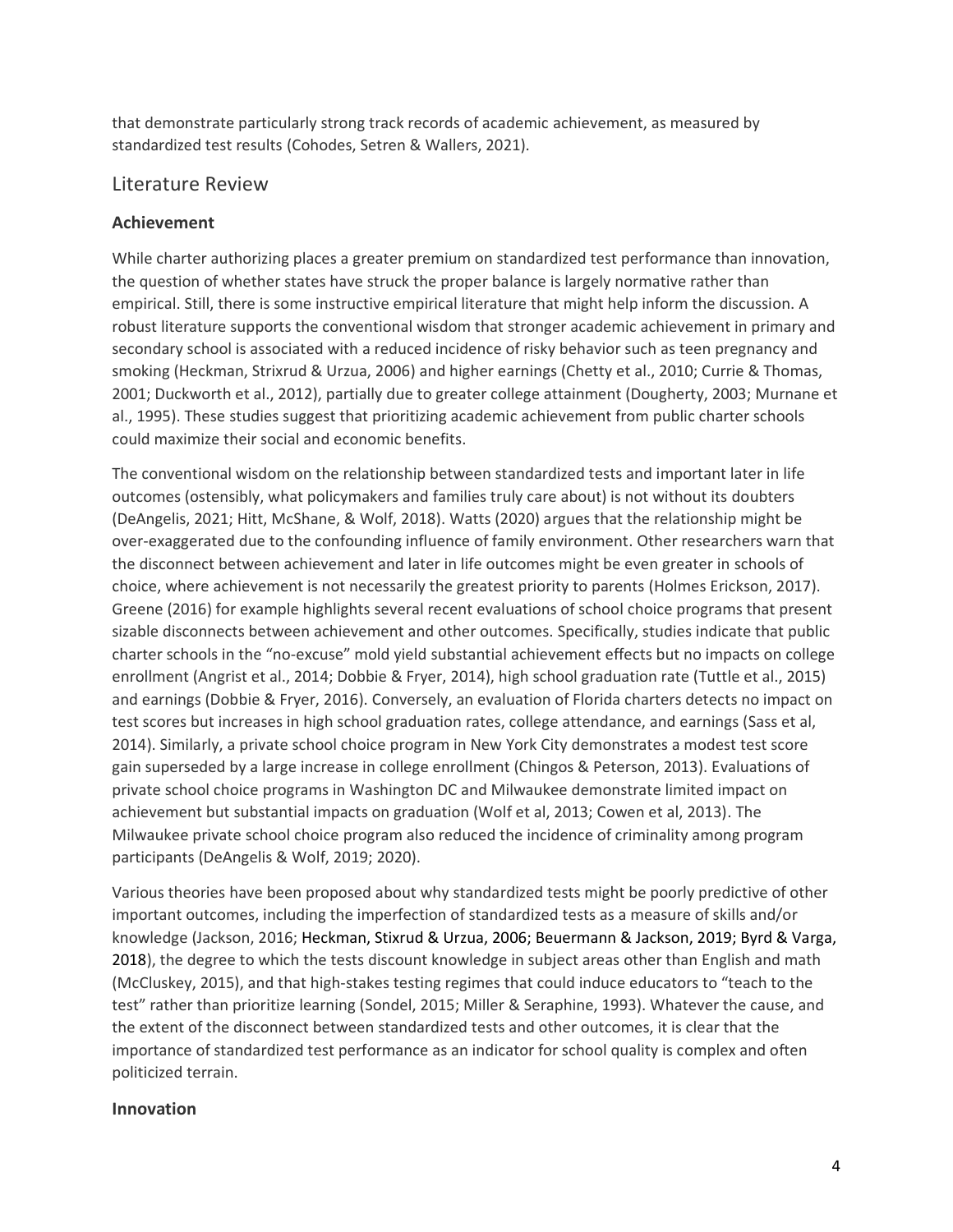that demonstrate particularly strong track records of academic achievement, as measured by standardized test results (Cohodes, Setren & Wallers, 2021).

### Literature Review

#### **Achievement**

While charter authorizing places a greater premium on standardized test performance than innovation, the question of whether states have struck the proper balance is largely normative rather than empirical. Still, there is some instructive empirical literature that might help inform the discussion. A robust literature supports the conventional wisdom that stronger academic achievement in primary and secondary school is associated with a reduced incidence of risky behavior such as teen pregnancy and smoking (Heckman, Strixrud & Urzua, 2006) and higher earnings (Chetty et al., 2010; Currie & Thomas, 2001; Duckworth et al., 2012), partially due to greater college attainment (Dougherty, 2003; Murnane et al., 1995). These studies suggest that prioritizing academic achievement from public charter schools could maximize their social and economic benefits.

The conventional wisdom on the relationship between standardized tests and important later in life outcomes (ostensibly, what policymakers and families truly care about) is not without its doubters (DeAngelis, 2021; Hitt, McShane, & Wolf, 2018). Watts (2020) argues that the relationship might be over-exaggerated due to the confounding influence of family environment. Other researchers warn that the disconnect between achievement and later in life outcomes might be even greater in schools of choice, where achievement is not necessarily the greatest priority to parents (Holmes Erickson, 2017). Greene (2016) for example highlights several recent evaluations of school choice programs that present sizable disconnects between achievement and other outcomes. Specifically, studies indicate that public charter schools in the "no-excuse" mold yield substantial achievement effects but no impacts on college enrollment (Angrist et al., 2014; Dobbie & Fryer, 2014), high school graduation rate (Tuttle et al., 2015) and earnings (Dobbie & Fryer, 2016). Conversely, an evaluation of Florida charters detects no impact on test scores but increases in high school graduation rates, college attendance, and earnings (Sass et al, 2014). Similarly, a private school choice program in New York City demonstrates a modest test score gain superseded by a large increase in college enrollment (Chingos & Peterson, 2013). Evaluations of private school choice programs in Washington DC and Milwaukee demonstrate limited impact on achievement but substantial impacts on graduation (Wolf et al, 2013; Cowen et al, 2013). The Milwaukee private school choice program also reduced the incidence of criminality among program participants (DeAngelis & Wolf, 2019; 2020).

Various theories have been proposed about why standardized tests might be poorly predictive of other important outcomes, including the imperfection of standardized tests as a measure of skills and/or knowledge (Jackson, 2016; Heckman, Stixrud & Urzua, 2006; Beuermann & Jackson, 2019; Byrd & Varga, 2018), the degree to which the tests discount knowledge in subject areas other than English and math (McCluskey, 2015), and that high-stakes testing regimes that could induce educators to "teach to the test" rather than prioritize learning (Sondel, 2015; Miller & Seraphine, 1993). Whatever the cause, and the extent of the disconnect between standardized tests and other outcomes, it is clear that the importance of standardized test performance as an indicator for school quality is complex and often politicized terrain.

#### **Innovation**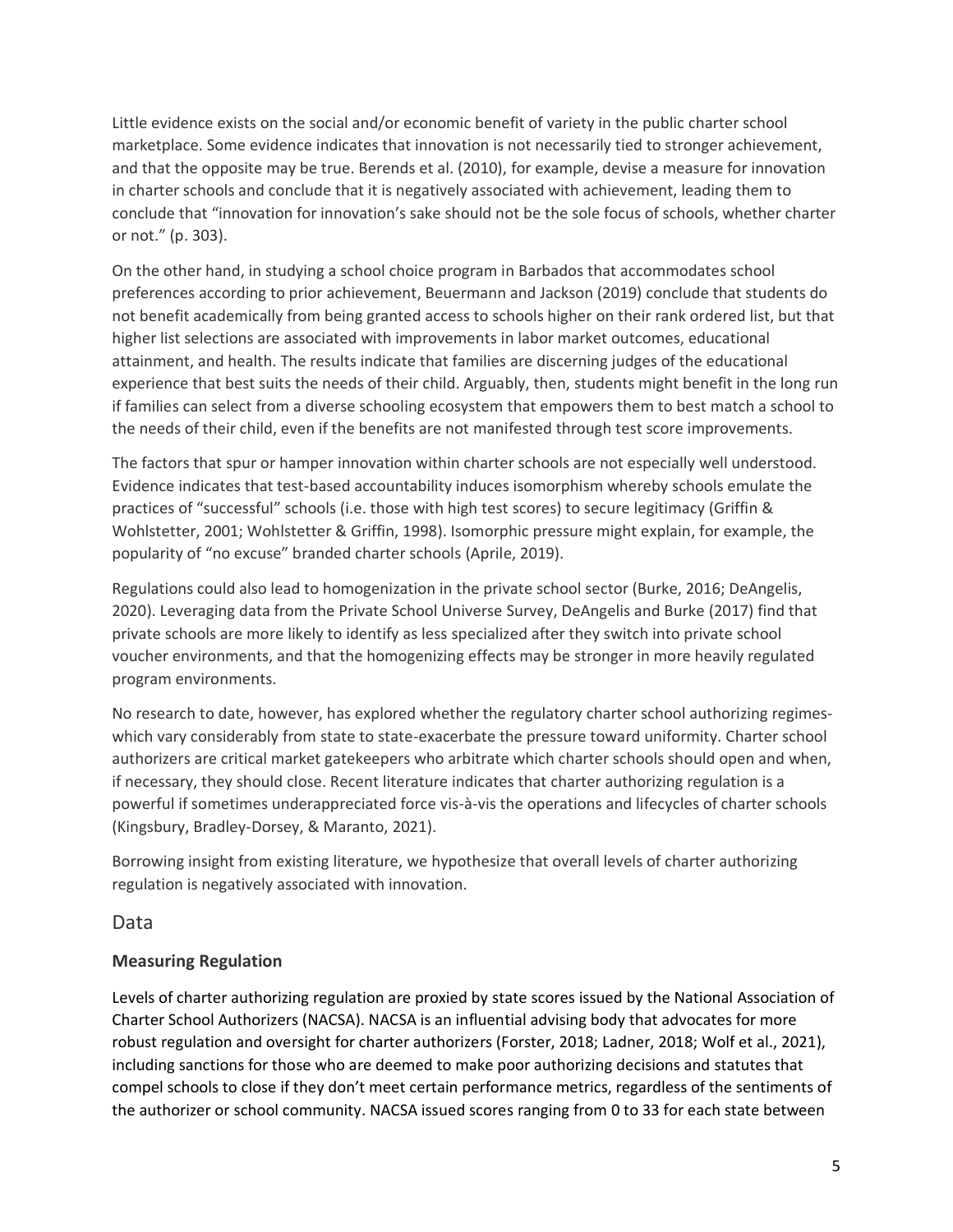Little evidence exists on the social and/or economic benefit of variety in the public charter school marketplace. Some evidence indicates that innovation is not necessarily tied to stronger achievement, and that the opposite may be true. Berends et al. (2010), for example, devise a measure for innovation in charter schools and conclude that it is negatively associated with achievement, leading them to conclude that "innovation for innovation's sake should not be the sole focus of schools, whether charter or not." (p. 303).

On the other hand, in studying a school choice program in Barbados that accommodates school preferences according to prior achievement, Beuermann and Jackson (2019) conclude that students do not benefit academically from being granted access to schools higher on their rank ordered list, but that higher list selections are associated with improvements in labor market outcomes, educational attainment, and health. The results indicate that families are discerning judges of the educational experience that best suits the needs of their child. Arguably, then, students might benefit in the long run if families can select from a diverse schooling ecosystem that empowers them to best match a school to the needs of their child, even if the benefits are not manifested through test score improvements.

The factors that spur or hamper innovation within charter schools are not especially well understood. Evidence indicates that test-based accountability induces isomorphism whereby schools emulate the practices of "successful" schools (i.e. those with high test scores) to secure legitimacy (Griffin & Wohlstetter, 2001; Wohlstetter & Griffin, 1998). Isomorphic pressure might explain, for example, the popularity of "no excuse" branded charter schools (Aprile, 2019).

Regulations could also lead to homogenization in the private school sector (Burke, 2016; DeAngelis, 2020). Leveraging data from the Private School Universe Survey, DeAngelis and Burke (2017) find that private schools are more likely to identify as less specialized after they switch into private school voucher environments, and that the homogenizing effects may be stronger in more heavily regulated program environments.

No research to date, however, has explored whether the regulatory charter school authorizing regimeswhich vary considerably from state to state-exacerbate the pressure toward uniformity. Charter school authorizers are critical market gatekeepers who arbitrate which charter schools should open and when, if necessary, they should close. Recent literature indicates that charter authorizing regulation is a powerful if sometimes underappreciated force vis-à-vis the operations and lifecycles of charter schools (Kingsbury, Bradley-Dorsey, & Maranto, 2021).

Borrowing insight from existing literature, we hypothesize that overall levels of charter authorizing regulation is negatively associated with innovation.

### Data

### **Measuring Regulation**

Levels of charter authorizing regulation are proxied by state scores issued by the National Association of Charter School Authorizers (NACSA). NACSA is an influential advising body that advocates for more robust regulation and oversight for charter authorizers (Forster, 2018; Ladner, 2018; Wolf et al., 2021), including sanctions for those who are deemed to make poor authorizing decisions and statutes that compel schools to close if they don't meet certain performance metrics, regardless of the sentiments of the authorizer or school community. NACSA issued scores ranging from 0 to 33 for each state between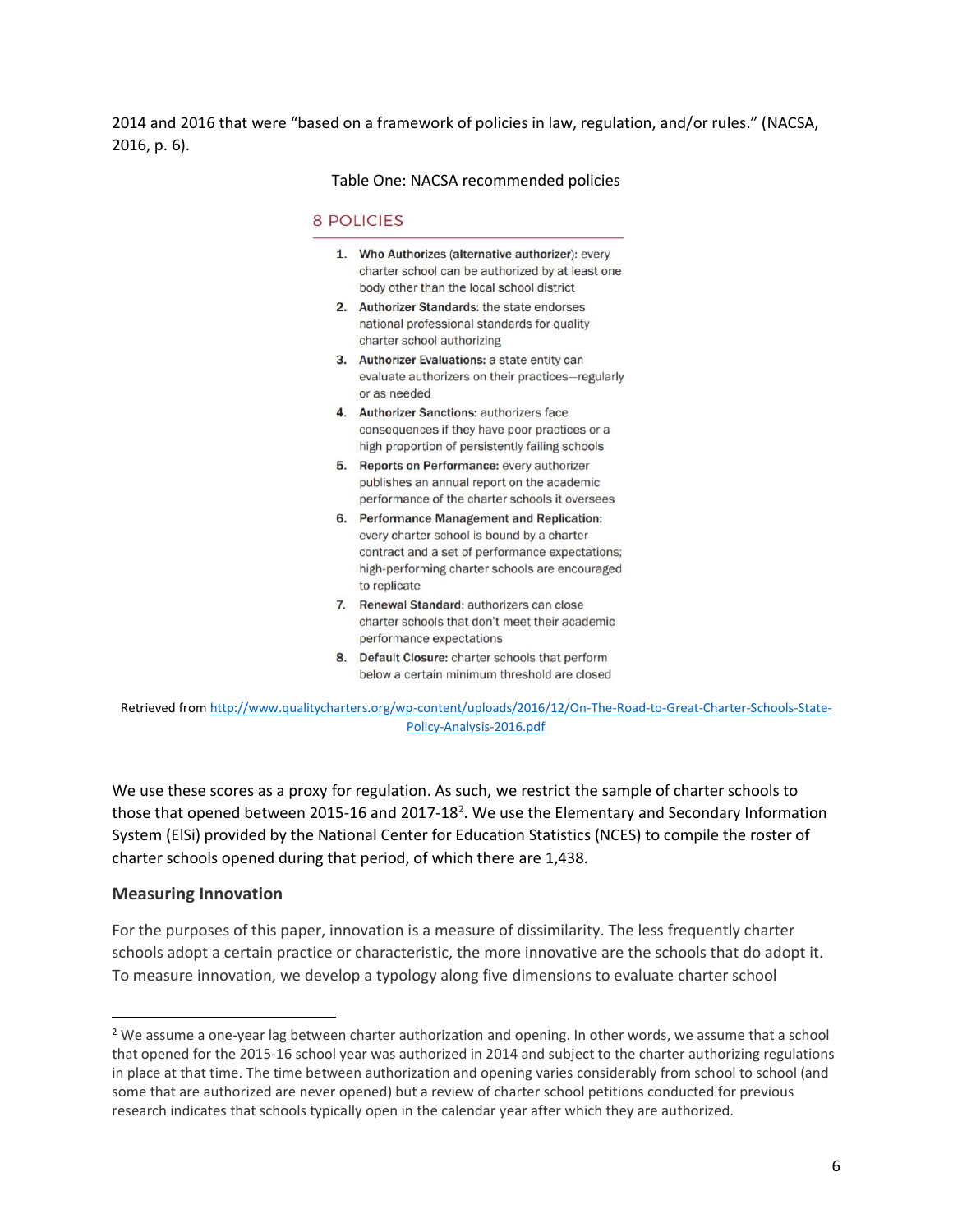2014 and 2016 that were "based on a framework of policies in law, regulation, and/or rules." (NACSA, 2016, p. 6).

Table One: NACSA recommended policies

#### **8 POLICIES**

- 1. Who Authorizes (alternative authorizer): every charter school can be authorized by at least one body other than the local school district
- 2. Authorizer Standards: the state endorses national professional standards for quality charter school authorizing
- 3. Authorizer Evaluations: a state entity can evaluate authorizers on their practices-regularly or as needed
- 4. Authorizer Sanctions: authorizers face consequences if they have poor practices or a high proportion of persistently failing schools
- 5. Reports on Performance: every authorizer publishes an annual report on the academic performance of the charter schools it oversees
- 6. Performance Management and Replication: every charter school is bound by a charter contract and a set of performance expectations; high-performing charter schools are encouraged to replicate
- 7. Renewal Standard: authorizers can close charter schools that don't meet their academic performance expectations
- 8. Default Closure: charter schools that perform below a certain minimum threshold are closed

Retrieved from [http://www.qualitycharters.org/wp-content/uploads/2016/12/On-The-Road-to-Great-Charter-Schools-State-](http://www.qualitycharters.org/wp-content/uploads/2016/12/On-The-Road-to-Great-Charter-Schools-State-Policy-Analysis-2016.pdf)[Policy-Analysis-2016.pdf](http://www.qualitycharters.org/wp-content/uploads/2016/12/On-The-Road-to-Great-Charter-Schools-State-Policy-Analysis-2016.pdf)

We use these scores as a proxy for regulation. As such, we restrict the sample of charter schools to those that opened between 2015-16 and 2017-18<sup>2</sup>. We use the Elementary and Secondary Information System (ElSi) provided by the National Center for Education Statistics (NCES) to compile the roster of charter schools opened during that period, of which there are 1,438.

#### **Measuring Innovation**

For the purposes of this paper, innovation is a measure of dissimilarity. The less frequently charter schools adopt a certain practice or characteristic, the more innovative are the schools that do adopt it. To measure innovation, we develop a typology along five dimensions to evaluate charter school

<sup>2</sup> We assume a one-year lag between charter authorization and opening. In other words, we assume that a school that opened for the 2015-16 school year was authorized in 2014 and subject to the charter authorizing regulations in place at that time. The time between authorization and opening varies considerably from school to school (and some that are authorized are never opened) but a review of charter school petitions conducted for previous research indicates that schools typically open in the calendar year after which they are authorized.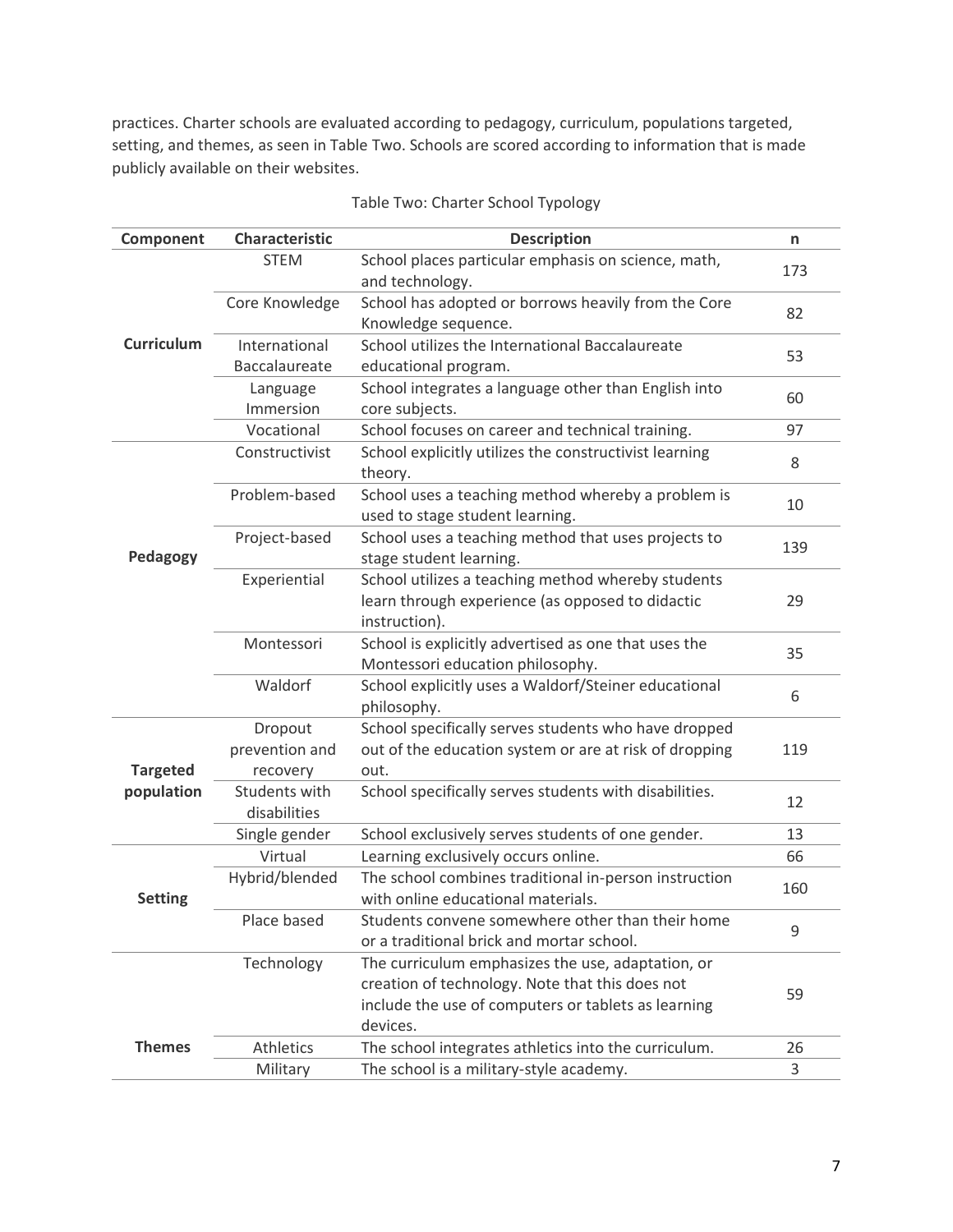practices. Charter schools are evaluated according to pedagogy, curriculum, populations targeted, setting, and themes, as seen in Table Two. Schools are scored according to information that is made publicly available on their websites.

| Component         | <b>Characteristic</b>                 | <b>Description</b>                                                                                                                                                      | n   |
|-------------------|---------------------------------------|-------------------------------------------------------------------------------------------------------------------------------------------------------------------------|-----|
|                   | <b>STEM</b>                           | School places particular emphasis on science, math,<br>and technology.                                                                                                  | 173 |
|                   | Core Knowledge                        | School has adopted or borrows heavily from the Core<br>Knowledge sequence.                                                                                              | 82  |
| <b>Curriculum</b> | International                         | School utilizes the International Baccalaureate                                                                                                                         | 53  |
|                   | Baccalaureate                         | educational program.                                                                                                                                                    |     |
|                   | Language                              | School integrates a language other than English into                                                                                                                    | 60  |
|                   | Immersion                             | core subjects.                                                                                                                                                          |     |
|                   | Vocational                            | School focuses on career and technical training.                                                                                                                        | 97  |
|                   | Constructivist                        | School explicitly utilizes the constructivist learning<br>theory.                                                                                                       | 8   |
|                   | Problem-based                         | School uses a teaching method whereby a problem is<br>used to stage student learning.                                                                                   | 10  |
| Pedagogy          | Project-based                         | School uses a teaching method that uses projects to<br>stage student learning.                                                                                          | 139 |
|                   | Experiential                          | School utilizes a teaching method whereby students<br>learn through experience (as opposed to didactic<br>instruction).                                                 | 29  |
|                   | Montessori                            | School is explicitly advertised as one that uses the<br>Montessori education philosophy.                                                                                | 35  |
|                   | Waldorf                               | School explicitly uses a Waldorf/Steiner educational<br>philosophy.                                                                                                     | 6   |
| <b>Targeted</b>   | Dropout<br>prevention and<br>recovery | School specifically serves students who have dropped<br>out of the education system or are at risk of dropping<br>out.                                                  | 119 |
| population        | Students with<br>disabilities         | School specifically serves students with disabilities.                                                                                                                  | 12  |
|                   | Single gender                         | School exclusively serves students of one gender.                                                                                                                       | 13  |
|                   | Virtual                               | Learning exclusively occurs online.                                                                                                                                     | 66  |
| <b>Setting</b>    | Hybrid/blended                        | The school combines traditional in-person instruction<br>with online educational materials.                                                                             | 160 |
|                   | Place based                           | Students convene somewhere other than their home<br>or a traditional brick and mortar school.                                                                           | 9   |
|                   | Technology                            | The curriculum emphasizes the use, adaptation, or<br>creation of technology. Note that this does not<br>include the use of computers or tablets as learning<br>devices. | 59  |
| <b>Themes</b>     | Athletics                             | The school integrates athletics into the curriculum.                                                                                                                    | 26  |
|                   | Military                              | The school is a military-style academy.                                                                                                                                 | 3   |

Table Two: Charter School Typology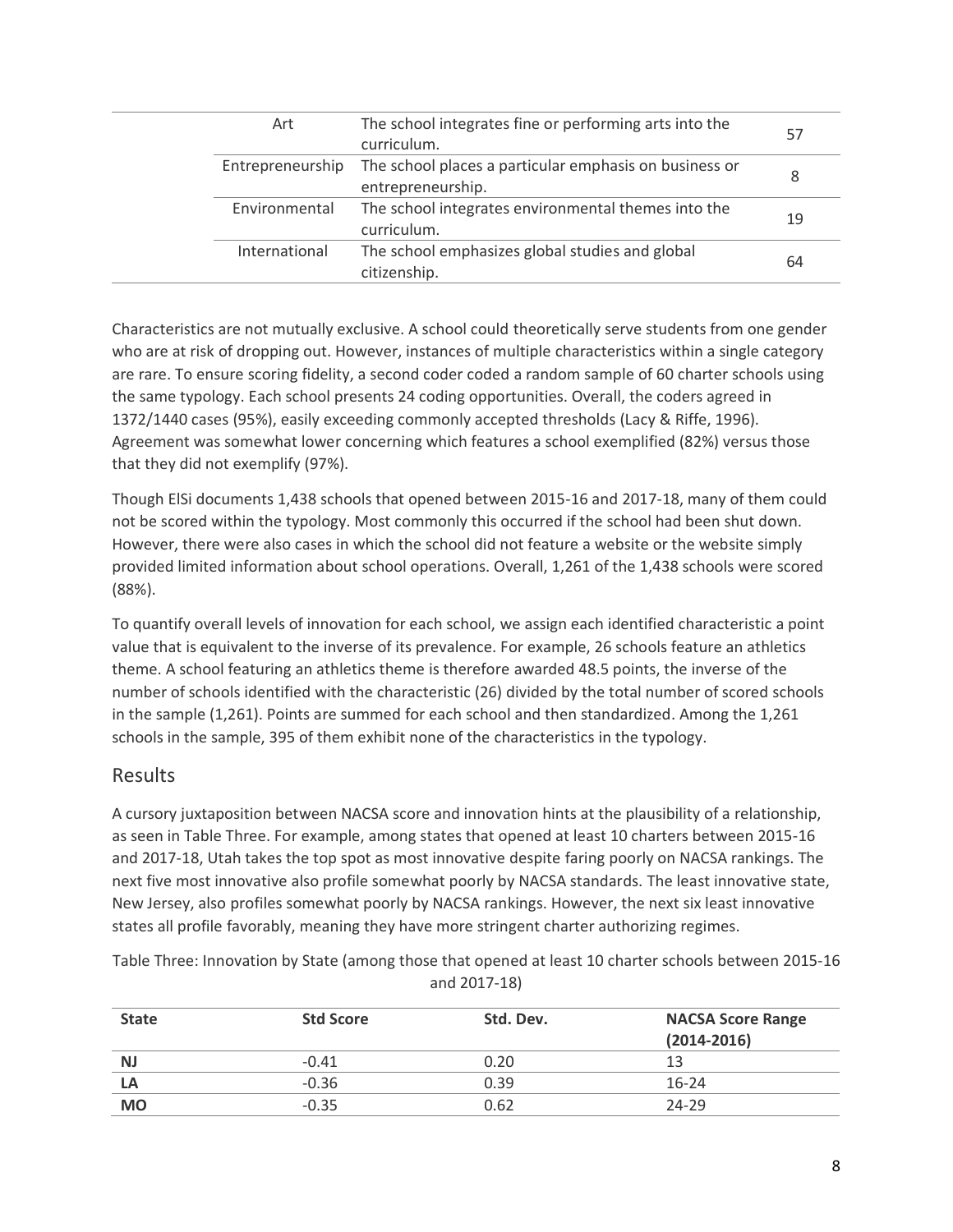| Art              | The school integrates fine or performing arts into the<br>curriculum.       | 57 |
|------------------|-----------------------------------------------------------------------------|----|
| Entrepreneurship | The school places a particular emphasis on business or<br>entrepreneurship. | 8  |
| Environmental    | The school integrates environmental themes into the<br>curriculum.          | 19 |
| International    | The school emphasizes global studies and global<br>citizenship.             | 64 |
|                  |                                                                             |    |

Characteristics are not mutually exclusive. A school could theoretically serve students from one gender who are at risk of dropping out. However, instances of multiple characteristics within a single category are rare. To ensure scoring fidelity, a second coder coded a random sample of 60 charter schools using the same typology. Each school presents 24 coding opportunities. Overall, the coders agreed in 1372/1440 cases (95%), easily exceeding commonly accepted thresholds (Lacy & Riffe, 1996). Agreement was somewhat lower concerning which features a school exemplified (82%) versus those that they did not exemplify (97%).

Though ElSi documents 1,438 schools that opened between 2015-16 and 2017-18, many of them could not be scored within the typology. Most commonly this occurred if the school had been shut down. However, there were also cases in which the school did not feature a website or the website simply provided limited information about school operations. Overall, 1,261 of the 1,438 schools were scored (88%).

To quantify overall levels of innovation for each school, we assign each identified characteristic a point value that is equivalent to the inverse of its prevalence. For example, 26 schools feature an athletics theme. A school featuring an athletics theme is therefore awarded 48.5 points, the inverse of the number of schools identified with the characteristic (26) divided by the total number of scored schools in the sample (1,261). Points are summed for each school and then standardized. Among the 1,261 schools in the sample, 395 of them exhibit none of the characteristics in the typology.

## Results

A cursory juxtaposition between NACSA score and innovation hints at the plausibility of a relationship, as seen in Table Three. For example, among states that opened at least 10 charters between 2015-16 and 2017-18, Utah takes the top spot as most innovative despite faring poorly on NACSA rankings. The next five most innovative also profile somewhat poorly by NACSA standards. The least innovative state, New Jersey, also profiles somewhat poorly by NACSA rankings. However, the next six least innovative states all profile favorably, meaning they have more stringent charter authorizing regimes.

Table Three: Innovation by State (among those that opened at least 10 charter schools between 2015-16 and 2017-18)

| <b>State</b> | <b>Std Score</b> | Std. Dev. | <b>NACSA Score Range</b><br>$(2014 - 2016)$ |
|--------------|------------------|-----------|---------------------------------------------|
| <b>NJ</b>    | $-0.41$          | 0.20      | 13                                          |
| LA           | $-0.36$          | 0.39      | $16-24$                                     |
| <b>MO</b>    | $-0.35$          | 0.62      | 24-29                                       |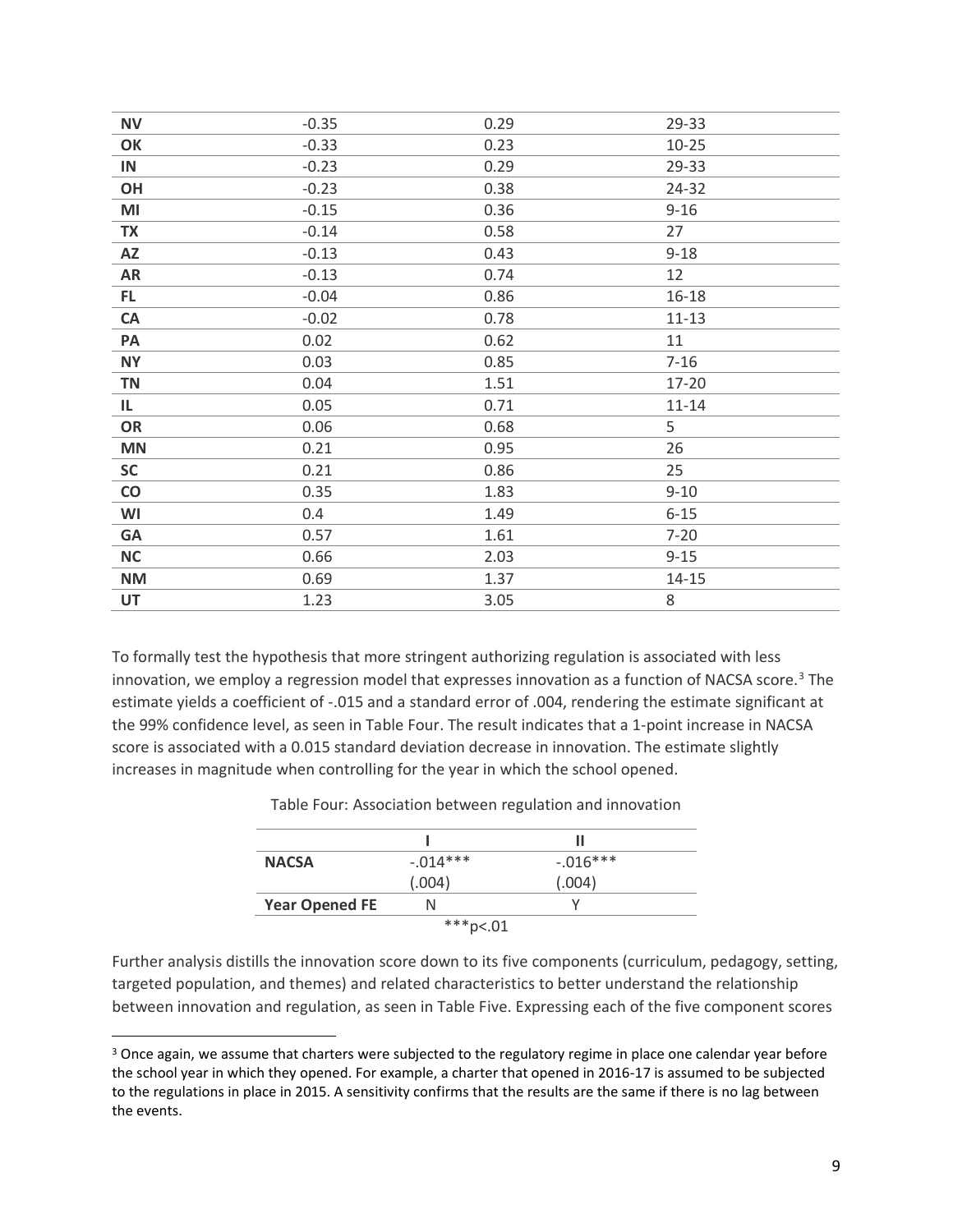| <b>NV</b>     | $-0.35$ | 0.29 | 29-33     |
|---------------|---------|------|-----------|
| OK            | $-0.33$ | 0.23 | $10 - 25$ |
| IN            | $-0.23$ | 0.29 | 29-33     |
| OH            | $-0.23$ | 0.38 | 24-32     |
| MI            | $-0.15$ | 0.36 | $9 - 16$  |
| <b>TX</b>     | $-0.14$ | 0.58 | 27        |
| AZ            | $-0.13$ | 0.43 | $9 - 18$  |
| AR            | $-0.13$ | 0.74 | 12        |
| FL.           | $-0.04$ | 0.86 | $16 - 18$ |
| CA            | $-0.02$ | 0.78 | $11 - 13$ |
| PA            | 0.02    | 0.62 | 11        |
| <b>NY</b>     | 0.03    | 0.85 | $7 - 16$  |
| <b>TN</b>     | 0.04    | 1.51 | 17-20     |
| IL.           | 0.05    | 0.71 | $11 - 14$ |
| OR            | 0.06    | 0.68 | 5         |
| <b>MN</b>     | 0.21    | 0.95 | 26        |
| <b>SC</b>     | 0.21    | 0.86 | 25        |
| $\mathsf{CO}$ | 0.35    | 1.83 | $9 - 10$  |
| WI            | 0.4     | 1.49 | $6 - 15$  |
| <b>GA</b>     | 0.57    | 1.61 | $7 - 20$  |
| <b>NC</b>     | 0.66    | 2.03 | $9 - 15$  |
| <b>NM</b>     | 0.69    | 1.37 | $14 - 15$ |
| UT            | 1.23    | 3.05 | 8         |
|               |         |      |           |

To formally test the hypothesis that more stringent authorizing regulation is associated with less innovation, we employ a regression model that expresses innovation as a function of NACSA score.<sup>3</sup> The estimate yields a coefficient of -.015 and a standard error of .004, rendering the estimate significant at the 99% confidence level, as seen in Table Four. The result indicates that a 1-point increase in NACSA score is associated with a 0.015 standard deviation decrease in innovation. The estimate slightly increases in magnitude when controlling for the year in which the school opened.

|                       |             | н          |  |
|-----------------------|-------------|------------|--|
| <b>NACSA</b>          | $-0.014***$ | $-.016***$ |  |
|                       | (.004)      | (.004)     |  |
| <b>Year Opened FE</b> | N           |            |  |
| ***p<.01              |             |            |  |

Table Four: Association between regulation and innovation

Further analysis distills the innovation score down to its five components (curriculum, pedagogy, setting, targeted population, and themes) and related characteristics to better understand the relationship between innovation and regulation, as seen in Table Five. Expressing each of the five component scores

<sup>&</sup>lt;sup>3</sup> Once again, we assume that charters were subjected to the regulatory regime in place one calendar year before the school year in which they opened. For example, a charter that opened in 2016-17 is assumed to be subjected to the regulations in place in 2015. A sensitivity confirms that the results are the same if there is no lag between the events.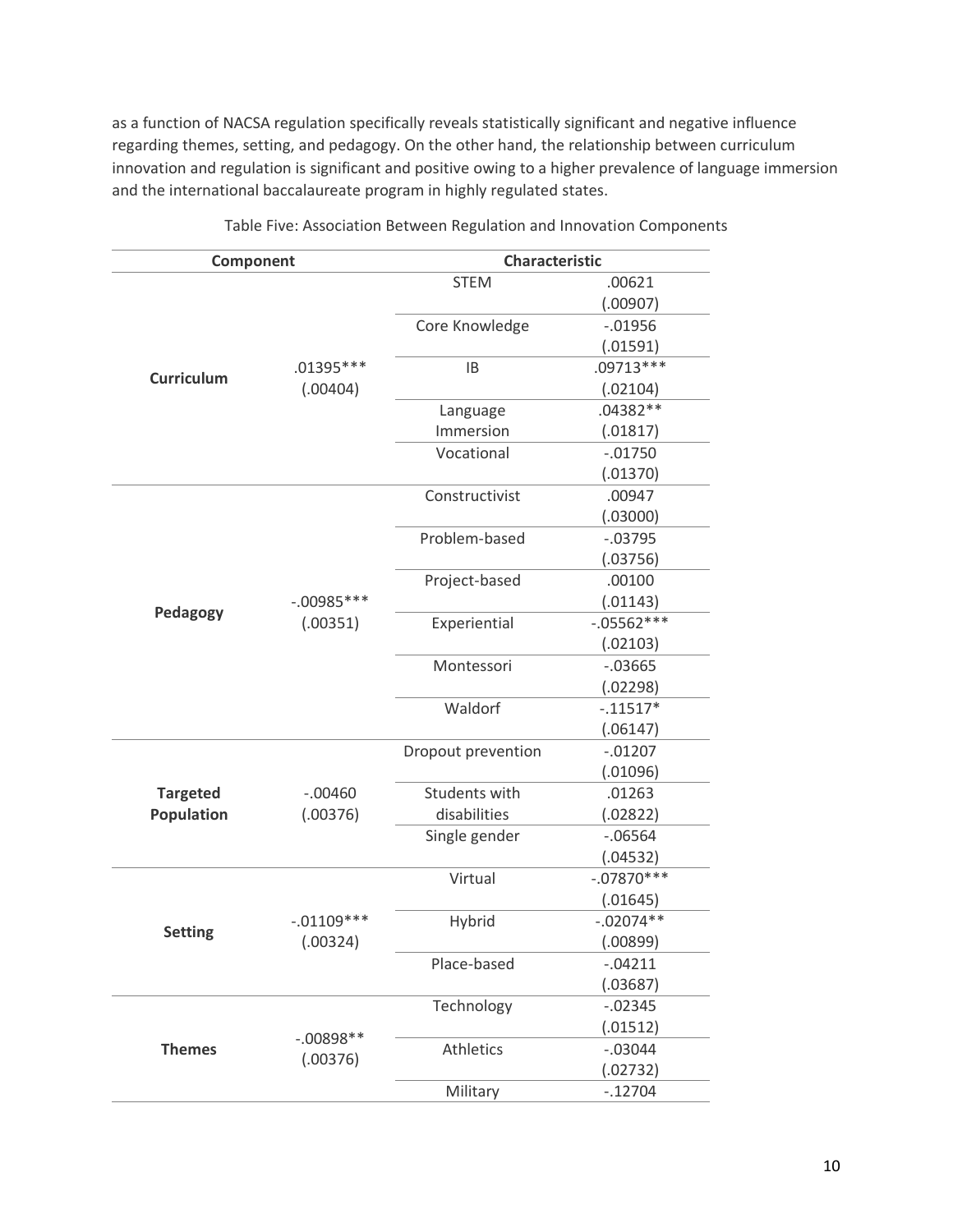as a function of NACSA regulation specifically reveals statistically significant and negative influence regarding themes, setting, and pedagogy. On the other hand, the relationship between curriculum innovation and regulation is significant and positive owing to a higher prevalence of language immersion and the international baccalaureate program in highly regulated states.

| Component         |                        | <b>Characteristic</b> |               |
|-------------------|------------------------|-----------------------|---------------|
|                   |                        | <b>STEM</b>           | .00621        |
|                   |                        |                       | (.00907)      |
|                   |                        | Core Knowledge        | $-0.01956$    |
|                   | .01395 ***<br>(.00404) |                       | (.01591)      |
| <b>Curriculum</b> |                        | <b>IB</b>             | $.09713***$   |
|                   |                        |                       | (.02104)      |
|                   |                        | Language              | $.04382**$    |
|                   |                        | Immersion             | (.01817)      |
|                   |                        | Vocational            | $-.01750$     |
|                   |                        |                       | (.01370)      |
|                   |                        | Constructivist        | .00947        |
|                   |                        |                       | (.03000)      |
|                   |                        | Problem-based         | $-.03795$     |
|                   |                        |                       | (.03756)      |
|                   |                        | Project-based         | .00100        |
|                   | $-.00985***$           |                       | (.01143)      |
| Pedagogy          | (.00351)               | Experiential          | $-0.05562***$ |
|                   |                        |                       | (.02103)      |
|                   |                        | Montessori            | $-0.03665$    |
|                   |                        |                       | (.02298)      |
|                   |                        | Waldorf               | $-.11517*$    |
|                   |                        |                       | (.06147)      |
|                   |                        | Dropout prevention    | $-.01207$     |
|                   |                        |                       | (.01096)      |
| <b>Targeted</b>   | $-.00460$              | Students with         | .01263        |
| Population        | (.00376)               | disabilities          | (.02822)      |
|                   |                        | Single gender         | $-06564$      |
|                   |                        |                       | (.04532)      |
|                   |                        | Virtual               | $-.07870***$  |
|                   |                        |                       | (.01645)      |
| <b>Setting</b>    | $-.01109***$           | Hybrid                | $-.02074**$   |
|                   | (.00324)               |                       | (.00899)      |
|                   |                        | Place-based           | $-.04211$     |
|                   |                        |                       | (.03687)      |
|                   |                        | Technology            | $-0.02345$    |
|                   | $-.00898**$            |                       | (.01512)      |
| <b>Themes</b>     | (.00376)               | Athletics             | $-.03044$     |
|                   |                        |                       | (.02732)      |
|                   |                        | Military              | $-.12704$     |

Table Five: Association Between Regulation and Innovation Components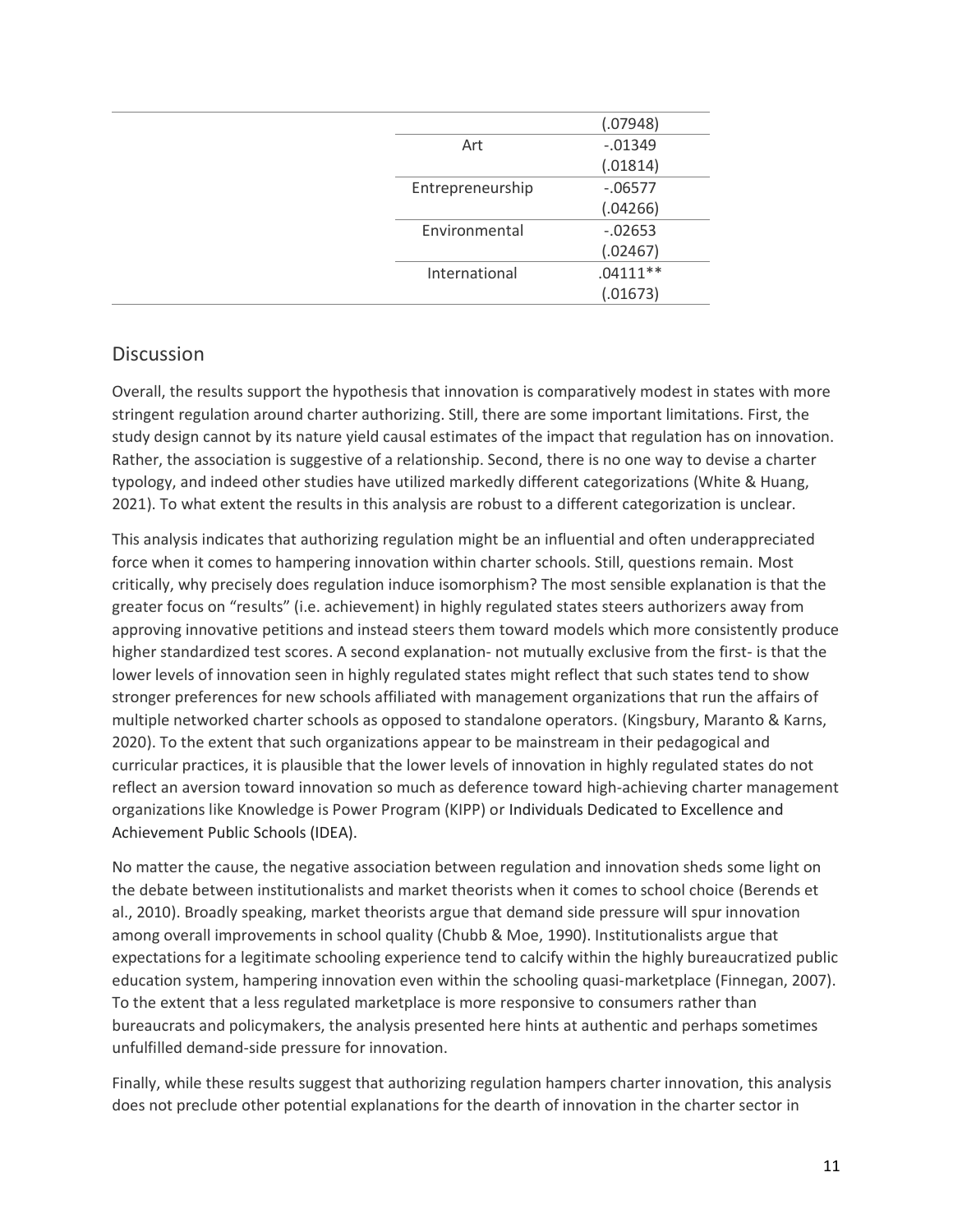|                  | (.07948)   |
|------------------|------------|
| Art              | $-0.01349$ |
|                  | (.01814)   |
| Entrepreneurship | $-06577$   |
|                  | (.04266)   |
| Environmental    | $-0.02653$ |
|                  | (.02467)   |
| International    | $.04111**$ |
|                  | (.01673)   |

## Discussion

Overall, the results support the hypothesis that innovation is comparatively modest in states with more stringent regulation around charter authorizing. Still, there are some important limitations. First, the study design cannot by its nature yield causal estimates of the impact that regulation has on innovation. Rather, the association is suggestive of a relationship. Second, there is no one way to devise a charter typology, and indeed other studies have utilized markedly different categorizations (White & Huang, 2021). To what extent the results in this analysis are robust to a different categorization is unclear.

This analysis indicates that authorizing regulation might be an influential and often underappreciated force when it comes to hampering innovation within charter schools. Still, questions remain. Most critically, why precisely does regulation induce isomorphism? The most sensible explanation is that the greater focus on "results" (i.e. achievement) in highly regulated states steers authorizers away from approving innovative petitions and instead steers them toward models which more consistently produce higher standardized test scores. A second explanation- not mutually exclusive from the first- is that the lower levels of innovation seen in highly regulated states might reflect that such states tend to show stronger preferences for new schools affiliated with management organizations that run the affairs of multiple networked charter schools as opposed to standalone operators. (Kingsbury, Maranto & Karns, 2020). To the extent that such organizations appear to be mainstream in their pedagogical and curricular practices, it is plausible that the lower levels of innovation in highly regulated states do not reflect an aversion toward innovation so much as deference toward high-achieving charter management organizations like Knowledge is Power Program (KIPP) or Individuals Dedicated to Excellence and Achievement Public Schools (IDEA).

No matter the cause, the negative association between regulation and innovation sheds some light on the debate between institutionalists and market theorists when it comes to school choice (Berends et al., 2010). Broadly speaking, market theorists argue that demand side pressure will spur innovation among overall improvements in school quality (Chubb & Moe, 1990). Institutionalists argue that expectations for a legitimate schooling experience tend to calcify within the highly bureaucratized public education system, hampering innovation even within the schooling quasi-marketplace (Finnegan, 2007). To the extent that a less regulated marketplace is more responsive to consumers rather than bureaucrats and policymakers, the analysis presented here hints at authentic and perhaps sometimes unfulfilled demand-side pressure for innovation.

Finally, while these results suggest that authorizing regulation hampers charter innovation, this analysis does not preclude other potential explanations for the dearth of innovation in the charter sector in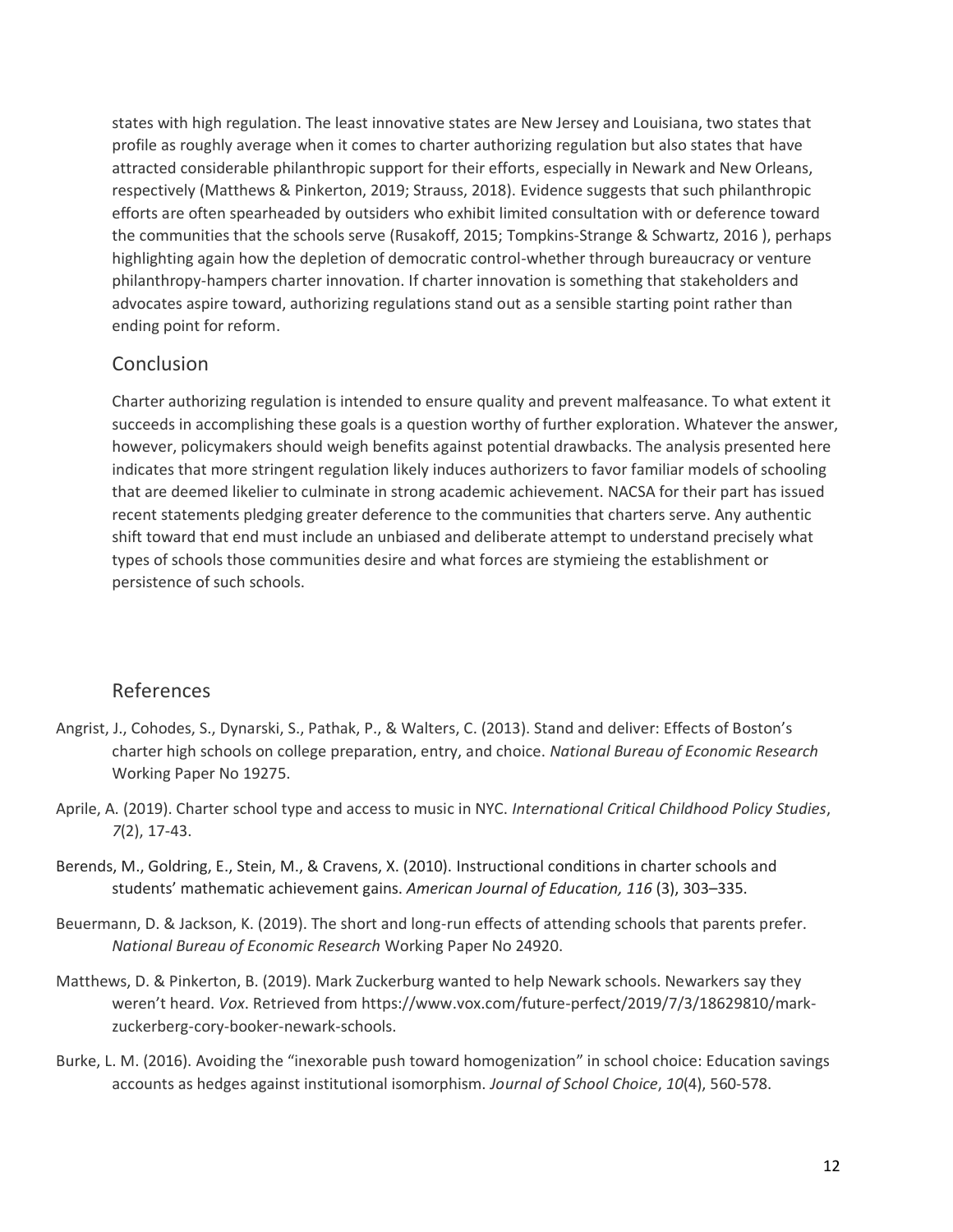states with high regulation. The least innovative states are New Jersey and Louisiana, two states that profile as roughly average when it comes to charter authorizing regulation but also states that have attracted considerable philanthropic support for their efforts, especially in Newark and New Orleans, respectively (Matthews & Pinkerton, 2019; Strauss, 2018). Evidence suggests that such philanthropic efforts are often spearheaded by outsiders who exhibit limited consultation with or deference toward the communities that the schools serve (Rusakoff, 2015; Tompkins-Strange & Schwartz, 2016 ), perhaps highlighting again how the depletion of democratic control-whether through bureaucracy or venture philanthropy-hampers charter innovation. If charter innovation is something that stakeholders and advocates aspire toward, authorizing regulations stand out as a sensible starting point rather than ending point for reform.

## Conclusion

Charter authorizing regulation is intended to ensure quality and prevent malfeasance. To what extent it succeeds in accomplishing these goals is a question worthy of further exploration. Whatever the answer, however, policymakers should weigh benefits against potential drawbacks. The analysis presented here indicates that more stringent regulation likely induces authorizers to favor familiar models of schooling that are deemed likelier to culminate in strong academic achievement. NACSA for their part has issued recent statements pledging greater deference to the communities that charters serve. Any authentic shift toward that end must include an unbiased and deliberate attempt to understand precisely what types of schools those communities desire and what forces are stymieing the establishment or persistence of such schools.

## References

- Angrist, J., Cohodes, S., Dynarski, S., Pathak, P., & Walters, C. (2013). Stand and deliver: Effects of Boston's charter high schools on college preparation, entry, and choice. *National Bureau of Economic Research* Working Paper No 19275.
- Aprile, A. (2019). Charter school type and access to music in NYC. *International Critical Childhood Policy Studies*, *7*(2), 17-43.
- Berends, M., Goldring, E., Stein, M., & Cravens, X. (2010). Instructional conditions in charter schools and students' mathematic achievement gains. *American Journal of Education, 116* (3), 303–335.
- Beuermann, D. & Jackson, K. (2019). The short and long-run effects of attending schools that parents prefer. *National Bureau of Economic Research* Working Paper No 24920.
- Matthews, D. & Pinkerton, B. (2019). Mark Zuckerburg wanted to help Newark schools. Newarkers say they weren't heard. *Vox*. Retrieved from https://www.vox.com/future-perfect/2019/7/3/18629810/markzuckerberg-cory-booker-newark-schools.
- Burke, L. M. (2016). Avoiding the "inexorable push toward homogenization" in school choice: Education savings accounts as hedges against institutional isomorphism. *Journal of School Choice*, *10*(4), 560-578.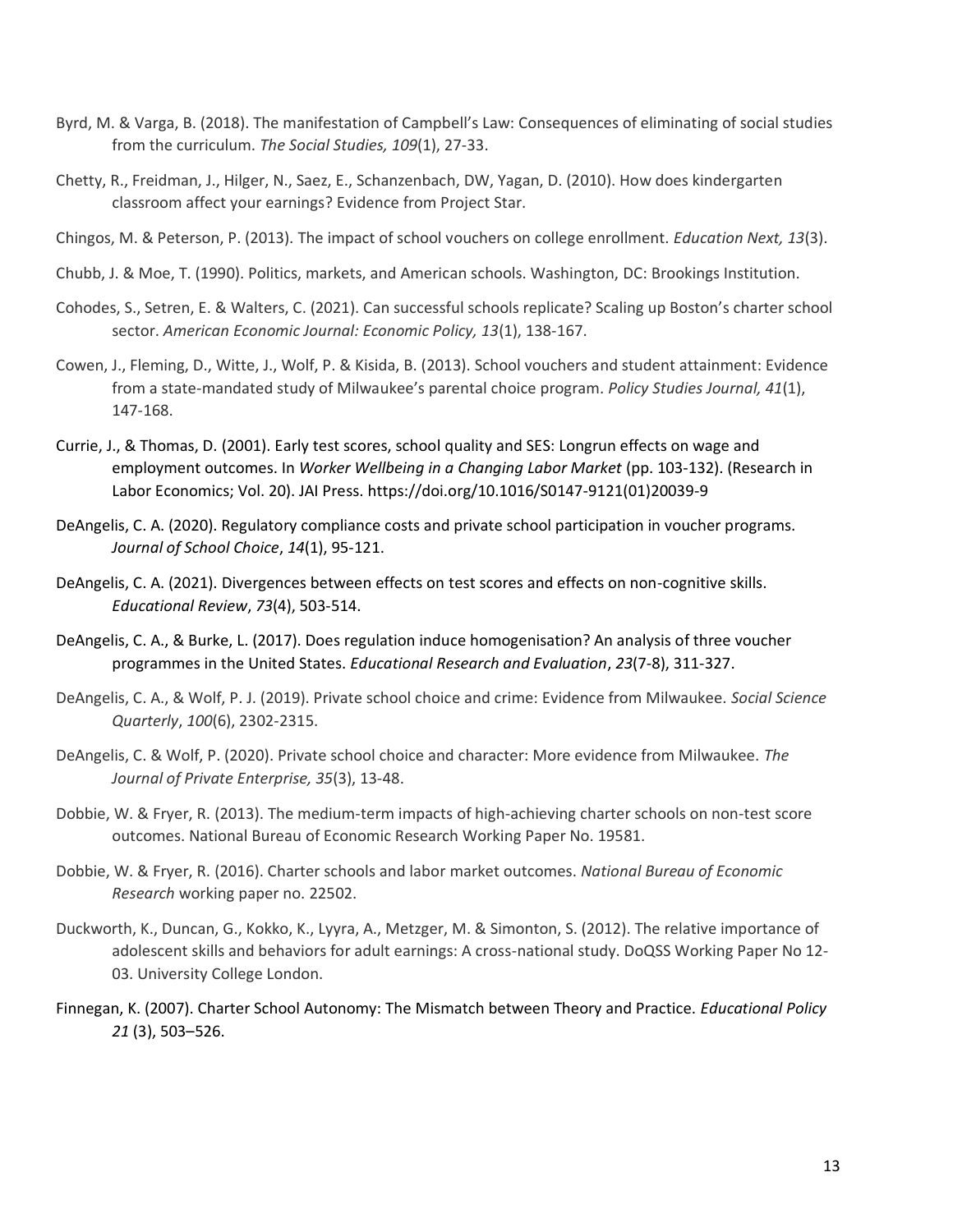- Byrd, M. & Varga, B. (2018). The manifestation of Campbell's Law: Consequences of eliminating of social studies from the curriculum. *The Social Studies, 109*(1), 27-33.
- Chetty, R., Freidman, J., Hilger, N., Saez, E., Schanzenbach, DW, Yagan, D. (2010). How does kindergarten classroom affect your earnings? Evidence from Project Star.
- Chingos, M. & Peterson, P. (2013). The impact of school vouchers on college enrollment. *Education Next, 13*(3).
- Chubb, J. & Moe, T. (1990). Politics, markets, and American schools. Washington, DC: Brookings Institution.
- Cohodes, S., Setren, E. & Walters, C. (2021). Can successful schools replicate? Scaling up Boston's charter school sector. *American Economic Journal: Economic Policy, 13*(1), 138-167.
- Cowen, J., Fleming, D., Witte, J., Wolf, P. & Kisida, B. (2013). School vouchers and student attainment: Evidence from a state-mandated study of Milwaukee's parental choice program. *Policy Studies Journal, 41*(1), 147-168.
- Currie, J., & Thomas, D. (2001). Early test scores, school quality and SES: Longrun effects on wage and employment outcomes. In *Worker Wellbeing in a Changing Labor Market* (pp. 103-132). (Research in Labor Economics; Vol. 20). JAI Press. https://doi.org/10.1016/S0147-9121(01)20039-9
- DeAngelis, C. A. (2020). Regulatory compliance costs and private school participation in voucher programs. *Journal of School Choice*, *14*(1), 95-121.
- DeAngelis, C. A. (2021). Divergences between effects on test scores and effects on non-cognitive skills. *Educational Review*, *73*(4), 503-514.
- DeAngelis, C. A., & Burke, L. (2017). Does regulation induce homogenisation? An analysis of three voucher programmes in the United States. *Educational Research and Evaluation*, *23*(7-8), 311-327.
- DeAngelis, C. A., & Wolf, P. J. (2019). Private school choice and crime: Evidence from Milwaukee. *Social Science Quarterly*, *100*(6), 2302-2315.
- DeAngelis, C. & Wolf, P. (2020). Private school choice and character: More evidence from Milwaukee. *The Journal of Private Enterprise, 35*(3), 13-48.
- Dobbie, W. & Fryer, R. (2013). The medium-term impacts of high-achieving charter schools on non-test score outcomes. National Bureau of Economic Research Working Paper No. 19581.
- Dobbie, W. & Fryer, R. (2016). Charter schools and labor market outcomes. *National Bureau of Economic Research* working paper no. 22502.
- Duckworth, K., Duncan, G., Kokko, K., Lyyra, A., Metzger, M. & Simonton, S. (2012). The relative importance of adolescent skills and behaviors for adult earnings: A cross-national study. DoQSS Working Paper No 12- 03. University College London.
- Finnegan, K. (2007). Charter School Autonomy: The Mismatch between Theory and Practice. *Educational Policy 21* (3), 503–526.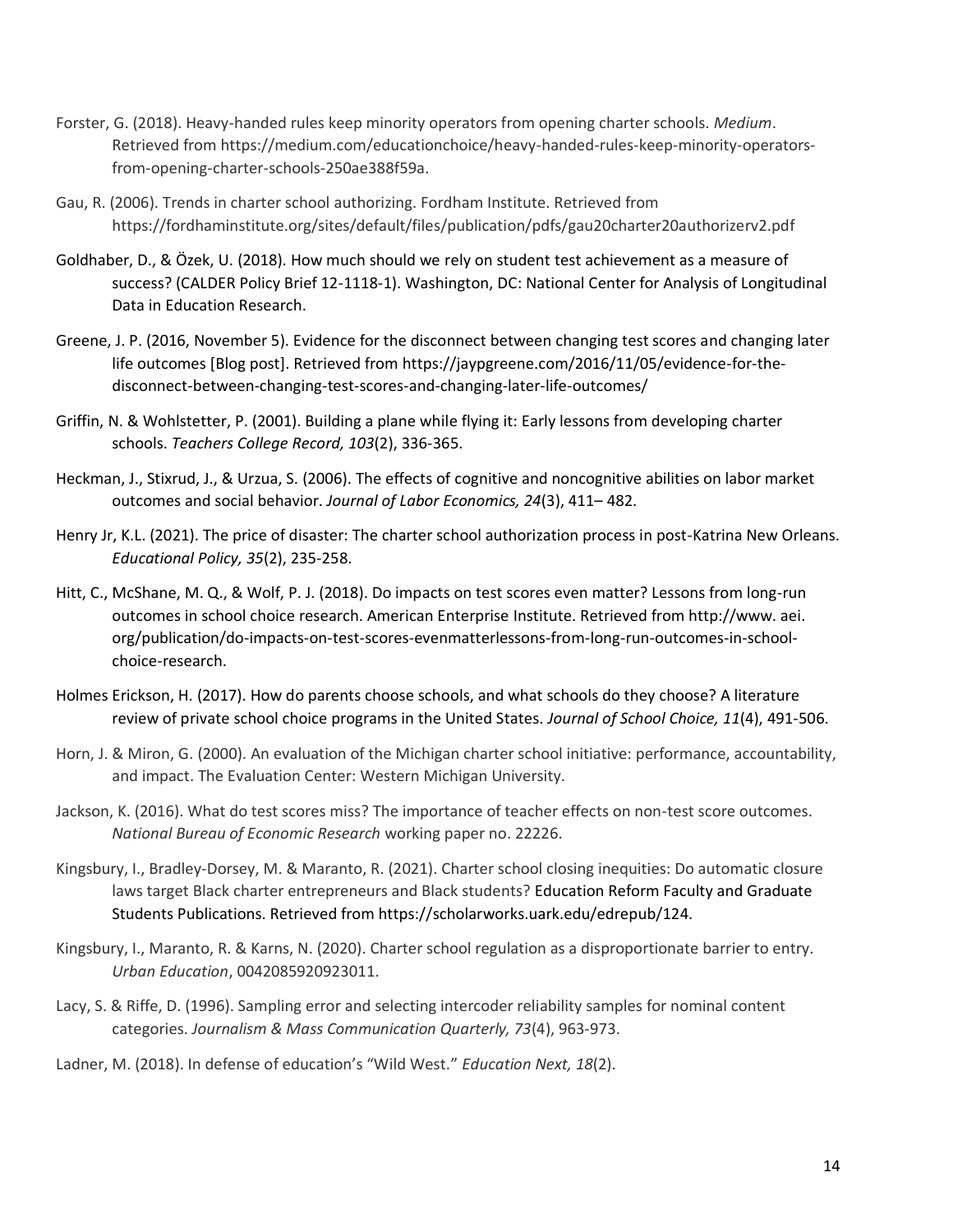- Forster, G. (2018). Heavy-handed rules keep minority operators from opening charter schools. *Medium*. Retrieved from https://medium.com/educationchoice/heavy-handed-rules-keep-minority-operatorsfrom-opening-charter-schools-250ae388f59a.
- Gau, R. (2006). Trends in charter school authorizing. Fordham Institute. Retrieved from https://fordhaminstitute.org/sites/default/files/publication/pdfs/gau20charter20authorizerv2.pdf
- Goldhaber, D., & Özek, U. (2018). How much should we rely on student test achievement as a measure of success? (CALDER Policy Brief 12-1118-1). Washington, DC: National Center for Analysis of Longitudinal Data in Education Research.
- Greene, J. P. (2016, November 5). Evidence for the disconnect between changing test scores and changing later life outcomes [Blog post]. Retrieved from [https://jaypgreene.com/2016/11/05/evidence-for-the](https://jaypgreene.com/2016/11/05/evidence-for-the-disconnect-between-changing-test-scores-and-changing-later-life-outcomes/)[disconnect-between-changing-test-scores-and-changing-later-life-outcomes/](https://jaypgreene.com/2016/11/05/evidence-for-the-disconnect-between-changing-test-scores-and-changing-later-life-outcomes/)
- Griffin, N. & Wohlstetter, P. (2001). Building a plane while flying it: Early lessons from developing charter schools. *Teachers College Record, 103*(2), 336-365.
- Heckman, J., Stixrud, J., & Urzua, S. (2006). The effects of cognitive and noncognitive abilities on labor market outcomes and social behavior. *Journal of Labor Economics, 24*(3), 411– 482.
- Henry Jr, K.L. (2021). The price of disaster: The charter school authorization process in post-Katrina New Orleans. *Educational Policy, 35*(2), 235-258.
- Hitt, C., McShane, M. Q., & Wolf, P. J. (2018). Do impacts on test scores even matter? Lessons from long-run outcomes in school choice research. American Enterprise Institute. Retrieved from http://www. aei. org/publication/do-impacts-on-test-scores-evenmatterlessons-from-long-run-outcomes-in-schoolchoice-research.
- Holmes Erickson, H. (2017). How do parents choose schools, and what schools do they choose? A literature review of private school choice programs in the United States. *Journal of School Choice, 11*(4), 491-506.
- Horn, J. & Miron, G. (2000). An evaluation of the Michigan charter school initiative: performance, accountability, and impact. The Evaluation Center: Western Michigan University.
- Jackson, K. (2016). What do test scores miss? The importance of teacher effects on non-test score outcomes. *National Bureau of Economic Research* working paper no. 22226.
- Kingsbury, I., Bradley-Dorsey, M. & Maranto, R. (2021). Charter school closing inequities: Do automatic closure laws target Black charter entrepreneurs and Black students? Education Reform Faculty and Graduate Students Publications. Retrieved from https://scholarworks.uark.edu/edrepub/124.
- Kingsbury, I., Maranto, R. & Karns, N. (2020). Charter school regulation as a disproportionate barrier to entry. *Urban Education*, 0042085920923011.
- Lacy, S. & Riffe, D. (1996). Sampling error and selecting intercoder reliability samples for nominal content categories. *Journalism & Mass Communication Quarterly, 73*(4), 963-973.

Ladner, M. (2018). In defense of education's "Wild West." *Education Next, 18*(2).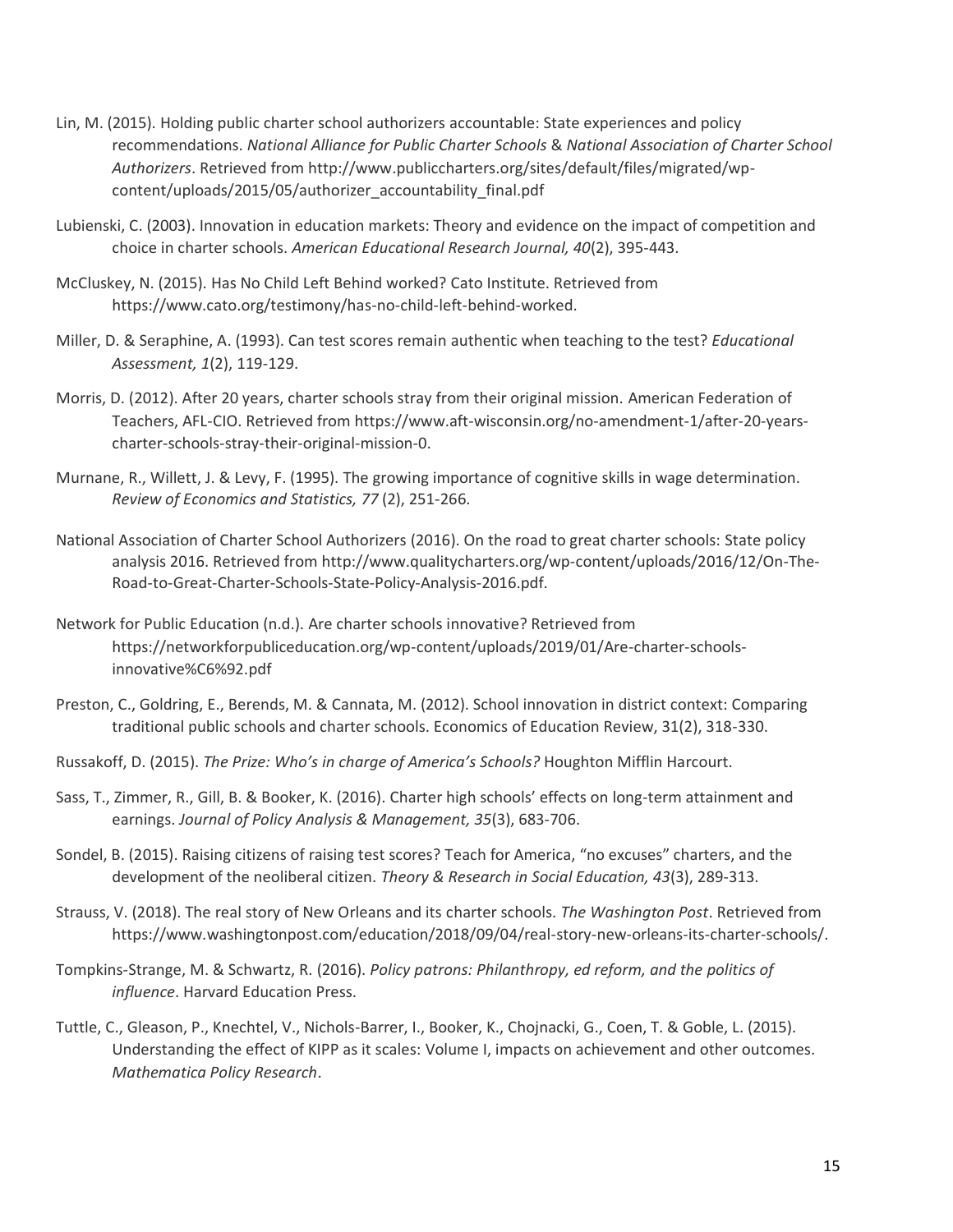- Lin, M. (2015). Holding public charter school authorizers accountable: State experiences and policy recommendations. *National Alliance for Public Charter Schools* & *National Association of Charter School Authorizers*. Retrieved from http://www.publiccharters.org/sites/default/files/migrated/wpcontent/uploads/2015/05/authorizer\_accountability\_final.pdf
- Lubienski, C. (2003). Innovation in education markets: Theory and evidence on the impact of competition and choice in charter schools. *American Educational Research Journal, 40*(2), 395-443.
- McCluskey, N. (2015). Has No Child Left Behind worked? Cato Institute. Retrieved from https://www.cato.org/testimony/has-no-child-left-behind-worked.
- Miller, D. & Seraphine, A. (1993). Can test scores remain authentic when teaching to the test? *Educational Assessment, 1*(2), 119-129.
- Morris, D. (2012). After 20 years, charter schools stray from their original mission. American Federation of Teachers, AFL-CIO. Retrieved from https://www.aft-wisconsin.org/no-amendment-1/after-20-yearscharter-schools-stray-their-original-mission-0.
- Murnane, R., Willett, J. & Levy, F. (1995). The growing importance of cognitive skills in wage determination. *Review of Economics and Statistics, 77* (2), 251-266.
- National Association of Charter School Authorizers (2016). On the road to great charter schools: State policy analysis 2016. Retrieved from http://www.qualitycharters.org/wp-content/uploads/2016/12/On-The-Road-to-Great-Charter-Schools-State-Policy-Analysis-2016.pdf.
- Network for Public Education (n.d.). Are charter schools innovative? Retrieved from https://networkforpubliceducation.org/wp-content/uploads/2019/01/Are-charter-schoolsinnovative%C6%92.pdf
- Preston, C., Goldring, E., Berends, M. & Cannata, M. (2012). School innovation in district context: Comparing traditional public schools and charter schools. Economics of Education Review, 31(2), 318-330.
- Russakoff, D. (2015). *The Prize: Who's in charge of America's Schools?* Houghton Mifflin Harcourt.
- Sass, T., Zimmer, R., Gill, B. & Booker, K. (2016). Charter high schools' effects on long-term attainment and earnings. *Journal of Policy Analysis & Management, 35*(3), 683-706.
- Sondel, B. (2015). Raising citizens of raising test scores? Teach for America, "no excuses" charters, and the development of the neoliberal citizen. *Theory & Research in Social Education, 43*(3), 289-313.
- Strauss, V. (2018). The real story of New Orleans and its charter schools. *The Washington Post*. Retrieved from https://www.washingtonpost.com/education/2018/09/04/real-story-new-orleans-its-charter-schools/.
- Tompkins-Strange, M. & Schwartz, R. (2016). *Policy patrons: Philanthropy, ed reform, and the politics of influence*. Harvard Education Press.
- Tuttle, C., Gleason, P., Knechtel, V., Nichols-Barrer, I., Booker, K., Chojnacki, G., Coen, T. & Goble, L. (2015). Understanding the effect of KIPP as it scales: Volume I, impacts on achievement and other outcomes. *Mathematica Policy Research*.